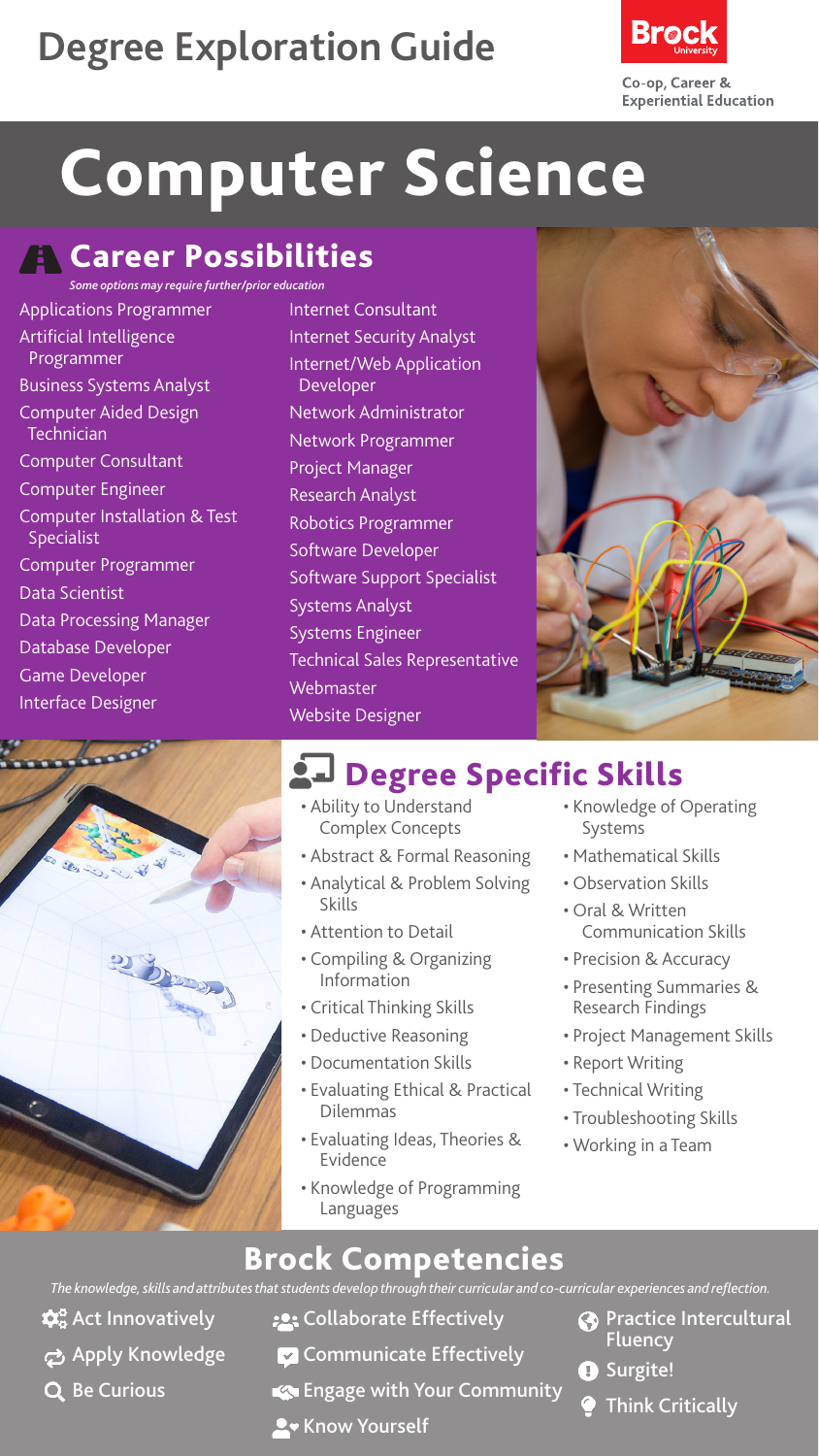## **Degree Exploration Guide**



# Computer Science

### **A** Career Possibilities

*Some options may require further/prior education* Applications Programmer Artificial Intelligence Programmer Business Systems Analyst Computer Aided Design **Technician** Computer Consultant Computer Engineer Computer Installation & Test Specialist Computer Programmer Data Scientist Data Processing Manager Database Developer Game Developer Interface Designer



#### Internet Consultant Internet Security Analyst Internet/Web Application Developer Network Administrator Network Programmer Project Manager Research Analyst Robotics Programmer Software Developer Software Support Specialist Systems Analyst Systems Engineer Technical Sales Representative **Webmaster** Website Designer



## **2-** Degree Specific Skills

- Ability to Understand Complex Concepts
- Abstract & Formal Reasoning
- Analytical & Problem Solving Skills
- Attention to Detail
- Compiling & Organizing Information
- Critical Thinking Skills
- Deductive Reasoning
- Documentation Skills
- Evaluating Ethical & Practical Dilemmas
- Evaluating Ideas, Theories & Evidence
- Knowledge of Programming Languages
- Knowledge of Operating Systems
- Mathematical Skills
- Observation Skills
- Oral & Written Communication Skills
- Precision & Accuracy
- Presenting Summaries & Research Findings
- Project Management Skills
- Report Writing
- Technical Writing
- Troubleshooting Skills
- Working in a Team

#### Brock Competencies

*The knowledge, skills and attributes that students develop through their curricular and co-curricular experiences and reflection.*

- $\mathbf{\hat{\alpha}}^{\circ}_{\mathbf{o}}$  Act Innovatively
- ch Apply Knowledge
- Q Be Curious
- **:** Collaborate Effectively **Z** Communicate Effectively
- 
- Engage with Your Community
- **A** Know Yourself
- **Co** Practice Intercultural Fluency
- **O** Surgite!
	- Think Critically